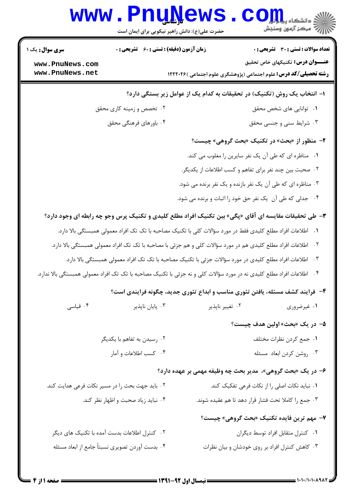|                                                                                                                       | <b>www.PnuNews</b><br>حضرت علی(ع): دانش راهبر نیکویی برای ایمان است |                 | الا دانشگاه پیام <mark>بر</mark><br>ا <sup>رد</sup> مرکز آزمهن وسنجش                                        |  |  |
|-----------------------------------------------------------------------------------------------------------------------|---------------------------------------------------------------------|-----------------|-------------------------------------------------------------------------------------------------------------|--|--|
| <b>سری سوال :</b> یک ۱                                                                                                | <b>زمان آزمون (دقیقه) : تستی : 60 ٪ تشریحی : 0</b>                  |                 | تعداد سوالات : تستي : 30 - تشريحي : 0                                                                       |  |  |
| www.PnuNews.com<br>www.PnuNews.net                                                                                    |                                                                     |                 | عنـــوان درس: تکنیکهای خاص تحقیق<br><b>رشته تحصیلی/کد درس:</b> علوم اجتماعی (پژوهشگری علوم اجتماعی )۱۲۲۲۰۲۶ |  |  |
|                                                                                                                       |                                                                     |                 | ا– انتخاب یک روش (تکنیک) در تحقیقات به کدام یک از عوامل زیر بستگی دارد؟                                     |  |  |
|                                                                                                                       | ۰۲ تخصص و زمینه کاری محقق                                           |                 | ۰۱ توانایی های شخص محقق                                                                                     |  |  |
|                                                                                                                       | ۰۴ باورهای فرهنگی محقق                                              |                 | ۰۳ شرایط سنی و جنسی محقق                                                                                    |  |  |
|                                                                                                                       |                                                                     |                 | ۲- منظور از «بحث» در تکنیک «بحث گروهی» چیست؟                                                                |  |  |
|                                                                                                                       |                                                                     |                 | ١. مناظره اي كه طي آن يک نفر سايرين را مغلوب مي كند.                                                        |  |  |
|                                                                                                                       |                                                                     |                 | ۰۲ صحبت بین چند نفر برای تفاهم و کسب اطلاعات از یکدیگر.                                                     |  |  |
|                                                                                                                       |                                                                     |                 | ۰۳ مناظره ای که طی آن یک نفر بازنده و یک نفر برنده می شود.                                                  |  |  |
|                                                                                                                       |                                                                     |                 | ۰۴ جدلی که طی آن یک نفر حق خود را اثبات و برنده می شود.                                                     |  |  |
| ۳- طی تحقیقات مقایسه ای آقای «پگی» بین تکنیک افراد مطلع کلیدی و تکنیک پرس وجو چه رابطه ای وجود دارد؟                  |                                                                     |                 |                                                                                                             |  |  |
| ۰۱   اطلاعات افراد مطلع کلیدی فقط در مورد سؤالات کلی با تکنیک مصاحبه با تک تک افراد معمولی همبستگی بالا دارد.         |                                                                     |                 |                                                                                                             |  |  |
| ۰۲ اطلاعات افراد مطلع کلیدی هم در مورد سؤالات کلی و هم جزئی با مصاحبه با تک تک افراد معمولی همبستگی بالا دارد.        |                                                                     |                 |                                                                                                             |  |  |
| ۰۳ اطلاعات افراد مطلع کلیدی در مورد سؤالات جزئی با تکنیک مصاحبه با تک تک افراد معمولی همبستگی بالا دارد.              |                                                                     |                 |                                                                                                             |  |  |
| ۰۴ اطلاعات افراد مطلع کلیدی نه در مورد سؤالات کلی و نه جزئی با تکنیک مصاحبه با تک تک افراد معمولی همبستگی بالا ندارد. |                                                                     |                 |                                                                                                             |  |  |
|                                                                                                                       |                                                                     |                 | ۴- فرایند کشف مسئله، یافتن تئوری مناسب و ابداع تئوری جدید، چگونه فرایندی است؟                               |  |  |
| ۰۴ قیاسی                                                                                                              | ۰۳ پایان ناپذیر                                                     | ۰۲ تغییر ناپذیر | ۰۱ غیرضروری                                                                                                 |  |  |
|                                                                                                                       |                                                                     |                 | ۵– در یک «بحث» اولین هدف چیست؟                                                                              |  |  |
|                                                                                                                       | ۰۲ رسیدن به تفاهم با یکدیگر                                         |                 | ٠١ جمع كردن نظرات مختلف                                                                                     |  |  |
|                                                                                                                       | ۰۴ كسب اطلاعات و آمار                                               |                 | ۰۳ روشن کردن ابعاد مسئله                                                                                    |  |  |
|                                                                                                                       |                                                                     |                 | ۶– در یک «بحث گروهی»، مدیر بحث چه وظیفه مهمی بر عهده دارد؟                                                  |  |  |
|                                                                                                                       | ۰۲ باید جهت بحث را در مسیر نکات فرعی هدایت کند.                     |                 | ۰۱ نباید نکات اصلی را از نکات فرعی تفکیک کند.                                                               |  |  |
|                                                                                                                       | ۰۴ نباید زیاد صحبت و اظهار نظر کند.                                 |                 | ۰۳ جمع را كاملا تحت فشار قرار دهد تا هم عقيده شوند.                                                         |  |  |
|                                                                                                                       |                                                                     |                 | ۷- مهم ترین فایده تکنیک «بحث گروهی» چیست؟                                                                   |  |  |
|                                                                                                                       | ۰۲ کنترل اطلاعات بدست آمده با تکنیک های دیگر                        |                 | ٠١ كنترل متقابل افراد توسط ديگران                                                                           |  |  |
|                                                                                                                       | ۰۴ بدست آوردن تصويري نسبتاً جامع از ابعاد مسئله                     |                 | ۰۳ کاهش کنترل افراد بر روی خودشان و بیان نظرات                                                              |  |  |
|                                                                                                                       |                                                                     |                 |                                                                                                             |  |  |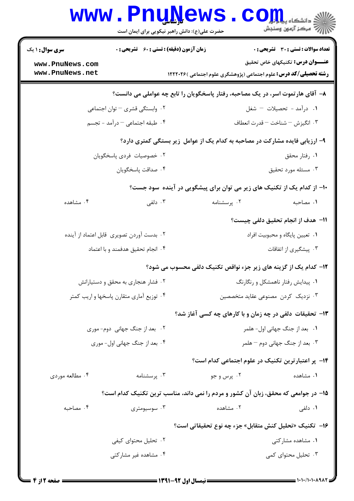|                                                                             | <b>www.PnuNews</b><br>حضرت علی(ع): دانش راهبر نیکویی برای ایمان است |             | ري دانشڪاه پي <mark>ا ۽ آور</mark><br>اڳ مرڪز آزمون وسنڊش                          |  |  |
|-----------------------------------------------------------------------------|---------------------------------------------------------------------|-------------|------------------------------------------------------------------------------------|--|--|
| <b>سری سوال : ۱ یک</b>                                                      | <b>زمان آزمون (دقیقه) : تستی : 60 ٪ تشریحی : 0</b>                  |             | <b>تعداد سوالات : تستی : 30 - تشریحی : 0</b>                                       |  |  |
| www.PnuNews.com                                                             |                                                                     |             | عنــــوان درس: تکنیکهای خاص تحقیق                                                  |  |  |
| www.PnuNews.net                                                             |                                                                     |             | <b>رشته تحصیلی/کد درس:</b> علوم اجتماعی (پژوهشگری علوم اجتماعی )۱۲۲۲۰۲۶            |  |  |
|                                                                             |                                                                     |             | ۸– آقای هارتموت اسر، در یک مصاحبه، رفتار پاسخگویان را تابع چه عواملی می دانست؟     |  |  |
|                                                                             | ۰۲ وابستگی قشری – توان اجتماعی                                      |             | 1. درآمد - تحصیلات – شغل                                                           |  |  |
|                                                                             | ۰۴ طبقه اجتماعی – درآمد - تجسم                                      |             | ۰۳ انگیزش – شناخت – قدرت انعطاف                                                    |  |  |
| ۹- ارزیابی فایده مشارکت در مصاحبه به کدام یک از عوامل زیر بستگی کمتری دارد؟ |                                                                     |             |                                                                                    |  |  |
|                                                                             | ۰۲ خصوصیات فردی پاسخگویان                                           |             | ۰۱ رفتار محقق                                                                      |  |  |
|                                                                             | ۰۴ صداقت پاسخگويان                                                  |             | ۰۳ مسئله مورد تحقيق                                                                |  |  |
|                                                                             |                                                                     |             | ۱۰- از کدام یک از تکنیک های زیر می توان برای پیشگویی در آینده سود جست؟             |  |  |
| ۰۴ مشاهده                                                                   | ۰۳ دلفی                                                             | ۰۲ پرسشنامه | ٠١. مصاحبه                                                                         |  |  |
|                                                                             |                                                                     |             | 11– هدف از انجام تحقیق دلفی چیست؟                                                  |  |  |
|                                                                             | ۰۲ بدست آوردن تصویری قابل اعتماد از آینده                           |             | ٠١ تعيين پايگاه و محبوبيت افراد                                                    |  |  |
|                                                                             | ۰۴ انجام تحقيق هدفمند و با اعتماد                                   |             | ۰۳ پیشگیری از اتفاقات                                                              |  |  |
|                                                                             |                                                                     |             | 12- کدام یک از گزینه های زیر جزء نواقص تکنیک دلفی محسوب می شود؟                    |  |  |
|                                                                             | ۰۲ فشار هنجاری به محقق و دستیارانش                                  |             | ۰۱ پیدایش رفتار ناهمشکل و رنگارنگ                                                  |  |  |
|                                                                             | ۰۴ توزیع آماری متقارن پاسخها و اریب کمتر                            |             | ۰۳ نزدیک کردن مصنوعی عقاید متخصصین                                                 |  |  |
|                                                                             |                                                                     |             | ۱۳- تحقیقات دلفی در چه زمان و با کارهای چه کسی آغاز شد؟                            |  |  |
|                                                                             | ۰۲ بعد از جنگ جهانی دوم- موری                                       |             | ٠١. بعد از جنگ جهاني اول- هلمر                                                     |  |  |
|                                                                             | ۰۴ بعد از جنگ جهانی اول- موری                                       |             | ۰۳ بعد از جنگ جهانی دوم – هلمر                                                     |  |  |
|                                                                             |                                                                     |             | ۰۱۴ پر اعتبارترین تکنیک در علوم اجتماعی کدام است؟                                  |  |  |
| ۰۴ مطالعه موردی                                                             | ۰۳ پرسشنامه                                                         | ۰۲ پرس و جو | ۰۱ مشاهده                                                                          |  |  |
|                                                                             |                                                                     |             | ۱۵– در جوامعی که محقق، زبان آن کشور و مردم را نمی داند، مناسب ترین تکنیک کدام است؟ |  |  |
| ۰۴ مصاحبه                                                                   | ۰۳ سوسیومتری                                                        | ۰۲ مشاهده   | ۰۱ دلفی                                                                            |  |  |
|                                                                             |                                                                     |             | ۱۶− تکنیک «تحلیل کنش متقابل» جزء چه نوع تحقیقاتی است؟                              |  |  |
|                                                                             | ۰۲ تحلیل محتوای کیفی                                                |             | ٠١ مشاهده مشاركتى                                                                  |  |  |
|                                                                             | ۰۴ مشاهده غیر مشارکتی                                               |             | ۰۳ تحلیل محتوای کمی                                                                |  |  |
|                                                                             |                                                                     |             |                                                                                    |  |  |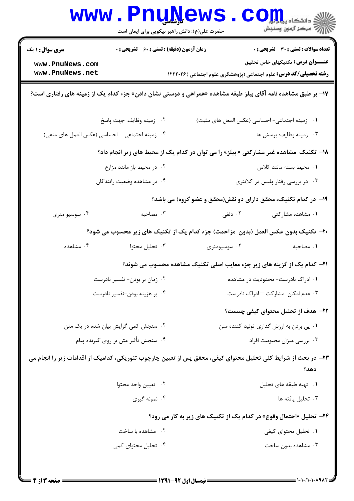|                                                                                                              |                                                    | <b>www.PnuNews</b><br>حضرت علی(ع): دانش راهبر نیکویی برای ایمان است | COL<br>کے دانشکاہ پیا <mark>ہ</mark><br>رآ مرڪز آزمون وسنڊش                                                           |  |  |
|--------------------------------------------------------------------------------------------------------------|----------------------------------------------------|---------------------------------------------------------------------|-----------------------------------------------------------------------------------------------------------------------|--|--|
| <b>سری سوال : ۱ یک</b>                                                                                       | <b>زمان آزمون (دقیقه) : تستی : 60 ٪ تشریحی : 0</b> |                                                                     | <b>تعداد سوالات : تستی : 30 ٪ تشریحی : 0</b>                                                                          |  |  |
| www.PnuNews.com                                                                                              |                                                    | عنــــوان درس: تکنیکهای خاص تحقیق                                   |                                                                                                                       |  |  |
| www.PnuNews.net                                                                                              |                                                    |                                                                     | <b>رشته تحصیلی/کد درس:</b> علوم اجتماعی (پژوهشگری علوم اجتماعی )۱۲۲۲۰۲۶                                               |  |  |
| ۱۷- بر طبق مشاهده نامه آقای بیلز طبقه مشاهده «همراهی و دوستی نشان دادن» جزء کدام یک از زمینه های رفتاری است؟ |                                                    |                                                                     |                                                                                                                       |  |  |
|                                                                                                              | ٠٢ زمينه وظايف: جهت پاسخ                           |                                                                     | ٠١ زمينه اجتماعي- احساسي (عكس المعل هاى مثبت)                                                                         |  |  |
| ۰۴ زمینه اجتماعی - احساسی (عکس العمل های منفی)                                                               |                                                    |                                                                     | ۰۳ زمينه وظايف: پرسش ها                                                                                               |  |  |
| ۱۸- تکنیک مشاهده غیر مشارکتی « بیلز» را می توان در کدام یک از محیط های زیر انجام داد؟                        |                                                    |                                                                     |                                                                                                                       |  |  |
|                                                                                                              | ۰۲ در محیط باز مانند مزارع                         |                                                                     | ٠١. محيط بسته مانند كلاس                                                                                              |  |  |
|                                                                                                              | ۰۴ در مشاهده وضعیت رانندگان                        |                                                                     | ۰۳ در بررسی رفتار پلیس در کلانتری                                                                                     |  |  |
|                                                                                                              |                                                    |                                                                     | ۱۹- در کدام تکنیک، محقق دارای دو نقش(محقق و عضو گروه) می باشد؟                                                        |  |  |
| ۰۴ سوسیو متری                                                                                                | ۰۳ مصاحبه                                          | ۰۲ دلفی                                                             | ۰۱ مشاهده مشارکتی                                                                                                     |  |  |
| 4۰- تکنیک بدون عکس العمل (بدون ًمزاحمت) جزء کدام یک از تکنیک های زیر محسوب می شود؟                           |                                                    |                                                                     |                                                                                                                       |  |  |
| ۰۴ مشاهده                                                                                                    | ۰۳ تحلیل محتوا                                     | ۰۲ سوسیومتری                                                        | ٠١. مصاحبه                                                                                                            |  |  |
|                                                                                                              |                                                    |                                                                     | <b>۲۱</b> - کدام یک از گزینه های زیر جزء معایب اصلی تکنیک مشاهده محسوب می شوند؟                                       |  |  |
|                                                                                                              | ۰۲ زمان بر بودن- تفسیر نادرست                      |                                                                     | ۰۱ ادراک نادرست- محدودیت در مشاهده                                                                                    |  |  |
| ۰۴ پر هزینه بودن-تفسیر نادرست                                                                                |                                                    |                                                                     | ۰۳ عدم امکان مشارکت -ادراک نادرست                                                                                     |  |  |
|                                                                                                              |                                                    |                                                                     | ۲۲– هدف از تحلیل محتوای کیفی چیست؟                                                                                    |  |  |
|                                                                                                              | ۰۲ سنجش کمی گرایش بیان شده در یک متن               |                                                                     | ۰۱ پی بردن به ارزش گذاری تولید کننده متن                                                                              |  |  |
|                                                                                                              | ۰۴ سنجش تأثير متن بر روى گيرنده پيام               |                                                                     | ۰۳ بررسی میزان محبوبیت افراد                                                                                          |  |  |
|                                                                                                              |                                                    |                                                                     | ۲۳– در بحث از شرایط کلی تحلیل محتوای کیفی، محقق پس از تعیین چارچوب تئوریکی، کدامیک از اقدامات زیر را انجام می<br>دهد؟ |  |  |
|                                                                                                              | ٠٢ تعيين واحد محتوا                                |                                                                     | ٠١. تهيه طبقه هاى تحليل                                                                                               |  |  |
|                                                                                                              | ۰۴ نمونه گیری                                      |                                                                     | ۰۳ تحليل يافته ها                                                                                                     |  |  |
| <b>۲۴</b> - تحلیل «احتمال وقوع» در کدام یک از تکنیک های زیر به کار می رود؟                                   |                                                    |                                                                     |                                                                                                                       |  |  |
|                                                                                                              | ۰۲ مشاهده با ساخت                                  |                                                                     | ۰۱ تحلیل محتوای کیفی                                                                                                  |  |  |
|                                                                                                              | ۰۴ تحلیل محتوای کمی                                |                                                                     | ۰۳ مشاهده بدون ساخت                                                                                                   |  |  |
|                                                                                                              |                                                    |                                                                     |                                                                                                                       |  |  |